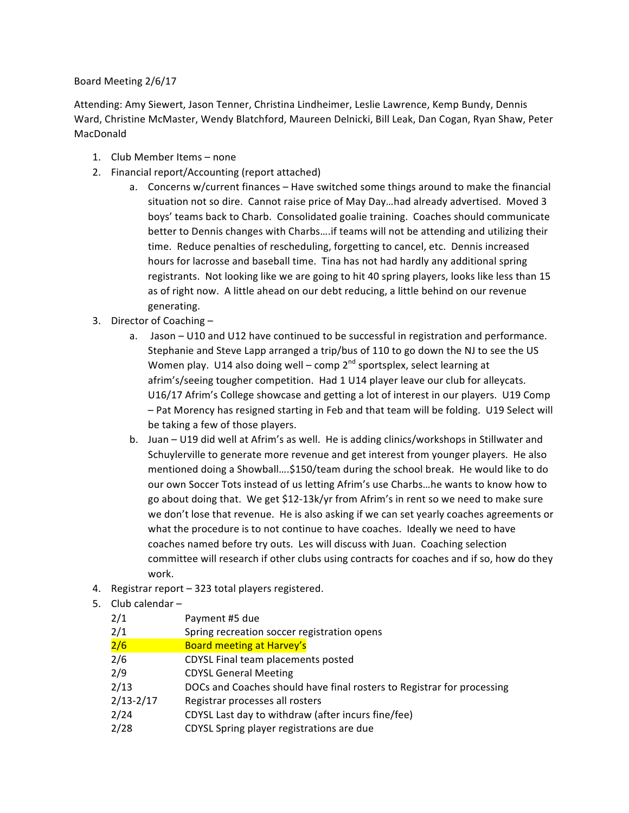## Board Meeting 2/6/17

Attending: Amy Siewert, Jason Tenner, Christina Lindheimer, Leslie Lawrence, Kemp Bundy, Dennis Ward, Christine McMaster, Wendy Blatchford, Maureen Delnicki, Bill Leak, Dan Cogan, Ryan Shaw, Peter MacDonald

- 1. Club Member Items none
- 2. Financial report/Accounting (report attached)
	- a. Concerns w/current finances Have switched some things around to make the financial situation not so dire. Cannot raise price of May Day...had already advertised. Moved 3 boys' teams back to Charb. Consolidated goalie training. Coaches should communicate better to Dennis changes with Charbs....if teams will not be attending and utilizing their time. Reduce penalties of rescheduling, forgetting to cancel, etc. Dennis increased hours for lacrosse and baseball time. Tina has not had hardly any additional spring registrants. Not looking like we are going to hit 40 spring players, looks like less than 15 as of right now. A little ahead on our debt reducing, a little behind on our revenue generating.
- 3. Director of Coaching  $$ 
	- a. Jason U10 and U12 have continued to be successful in registration and performance. Stephanie and Steve Lapp arranged a trip/bus of 110 to go down the NJ to see the US Women play. U14 also doing well – comp  $2^{nd}$  sportsplex, select learning at afrim's/seeing tougher competition. Had 1 U14 player leave our club for alleycats. U16/17 Afrim's College showcase and getting a lot of interest in our players. U19 Comp - Pat Morency has resigned starting in Feb and that team will be folding. U19 Select will be taking a few of those players.
	- b. Juan U19 did well at Afrim's as well. He is adding clinics/workshops in Stillwater and Schuylerville to generate more revenue and get interest from younger players. He also mentioned doing a Showball....\$150/team during the school break. He would like to do our own Soccer Tots instead of us letting Afrim's use Charbs...he wants to know how to go about doing that. We get \$12-13k/yr from Afrim's in rent so we need to make sure we don't lose that revenue. He is also asking if we can set yearly coaches agreements or what the procedure is to not continue to have coaches. Ideally we need to have coaches named before try outs. Les will discuss with Juan. Coaching selection committee will research if other clubs using contracts for coaches and if so, how do they work.
- 4. Registrar report 323 total players registered.
- 5. Club calendar  $-$

| 2/1           | Payment #5 due                                                         |
|---------------|------------------------------------------------------------------------|
| 2/1           | Spring recreation soccer registration opens                            |
| 2/6           | <b>Board meeting at Harvey's</b>                                       |
| 2/6           | CDYSL Final team placements posted                                     |
| 2/9           | <b>CDYSL General Meeting</b>                                           |
| 2/13          | DOCs and Coaches should have final rosters to Registrar for processing |
| $2/13 - 2/17$ | Registrar processes all rosters                                        |
| 2/24          | CDYSL Last day to withdraw (after incurs fine/fee)                     |
| 2/28          | CDYSL Spring player registrations are due                              |
|               |                                                                        |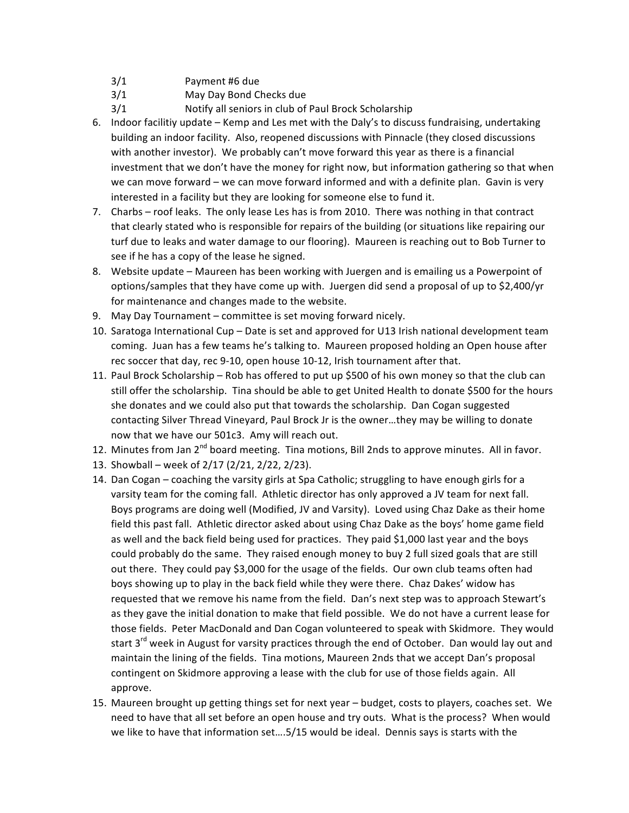- 3/1 Payment #6 due
- 3/1 May Day Bond Checks due
- 3/1 Notify all seniors in club of Paul Brock Scholarship
- 6. Indoor facilitiy update Kemp and Les met with the Daly's to discuss fundraising, undertaking building an indoor facility. Also, reopened discussions with Pinnacle (they closed discussions with another investor). We probably can't move forward this year as there is a financial investment that we don't have the money for right now, but information gathering so that when we can move forward – we can move forward informed and with a definite plan. Gavin is very interested in a facility but they are looking for someone else to fund it.
- 7. Charbs roof leaks. The only lease Les has is from 2010. There was nothing in that contract that clearly stated who is responsible for repairs of the building (or situations like repairing our turf due to leaks and water damage to our flooring). Maureen is reaching out to Bob Turner to see if he has a copy of the lease he signed.
- 8. Website update Maureen has been working with Juergen and is emailing us a Powerpoint of options/samples that they have come up with. Juergen did send a proposal of up to \$2,400/yr for maintenance and changes made to the website.
- 9. May Day Tournament committee is set moving forward nicely.
- 10. Saratoga International Cup Date is set and approved for U13 Irish national development team coming. Juan has a few teams he's talking to. Maureen proposed holding an Open house after rec soccer that day, rec 9-10, open house 10-12, Irish tournament after that.
- 11. Paul Brock Scholarship Rob has offered to put up \$500 of his own money so that the club can still offer the scholarship. Tina should be able to get United Health to donate \$500 for the hours she donates and we could also put that towards the scholarship. Dan Cogan suggested contacting Silver Thread Vineyard, Paul Brock Jr is the owner...they may be willing to donate now that we have our 501c3. Amy will reach out.
- 12. Minutes from Jan 2<sup>nd</sup> board meeting. Tina motions, Bill 2nds to approve minutes. All in favor.
- 13. Showball week of 2/17 (2/21, 2/22, 2/23).
- 14. Dan Cogan coaching the varsity girls at Spa Catholic; struggling to have enough girls for a varsity team for the coming fall. Athletic director has only approved a JV team for next fall. Boys programs are doing well (Modified, JV and Varsity). Loved using Chaz Dake as their home field this past fall. Athletic director asked about using Chaz Dake as the boys' home game field as well and the back field being used for practices. They paid \$1,000 last year and the boys could probably do the same. They raised enough money to buy 2 full sized goals that are still out there. They could pay \$3,000 for the usage of the fields. Our own club teams often had boys showing up to play in the back field while they were there. Chaz Dakes' widow has requested that we remove his name from the field. Dan's next step was to approach Stewart's as they gave the initial donation to make that field possible. We do not have a current lease for those fields. Peter MacDonald and Dan Cogan volunteered to speak with Skidmore. They would start  $3^{rd}$  week in August for varsity practices through the end of October. Dan would lay out and maintain the lining of the fields. Tina motions, Maureen 2nds that we accept Dan's proposal contingent on Skidmore approving a lease with the club for use of those fields again. All approve.
- 15. Maureen brought up getting things set for next year budget, costs to players, coaches set. We need to have that all set before an open house and try outs. What is the process? When would we like to have that information set....5/15 would be ideal. Dennis says is starts with the